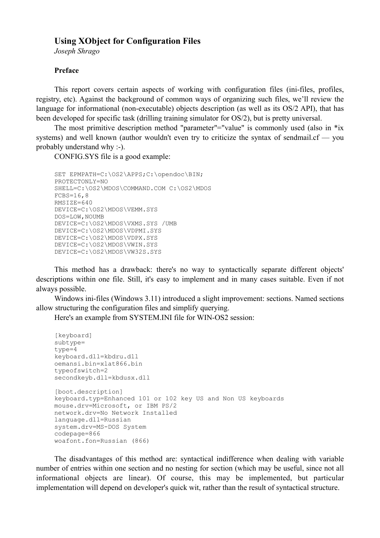# **Using XObject for Configuration Files**

*Joseph Shrago*

## **Preface**

This report covers certain aspects of working with configuration files (ini-files, profiles, registry, etc). Against the background of common ways of organizing such files, we'll review the language for informational (non-executable) objects description (as well as its OS/2 API), that has been developed for specific task (drilling training simulator for OS/2), but is pretty universal.

The most primitive description method "parameter"="value" is commonly used (also in \*ix systems) and well known (author wouldn't even try to criticize the syntax of sendmail.cf — you probably understand why :-).

CONFIG.SYS file is a good example:

```
SET EPMPATH=C:\OS2\APPS;C:\opendoc\BIN;
PROTECTONLY=NO
SHELL=C:\OS2\MDOS\COMMAND.COM C:\OS2\MDOS
FCBS=16,8RMSIZE=640
DEVICE=C:\OS2\MDOS\VEMM.SYS
DOS=LOW,NOUMB
DEVICE=C:\OS2\MDOS\VXMS.SYS /UMB
DEVICE=C:\OS2\MDOS\VDPMI.SYS
DEVICE=C:\OS2\MDOS\VDPX.SYS
DEVICE=C:\OS2\MDOS\VWIN.SYS
DEVICE=C:\OS2\MDOS\VW32S.SYS
```
This method has a drawback: there's no way to syntactically separate different objects' descriptions within one file. Still, it's easy to implement and in many cases suitable. Even if not always possible.

Windows ini-files (Windows 3.11) introduced a slight improvement: sections. Named sections allow structuring the configuration files and simplify querying.

Here's an example from SYSTEM.INI file for WIN-OS2 session:

```
[keyboard]
subtype=
type=4
keyboard.dll=kbdru.dll
oemansi.bin=xlat866.bin
typeofswitch=2
secondkeyb.dll=kbdusx.dll
[boot.description]
keyboard.typ=Enhanced 101 or 102 key US and Non US keyboards
mouse.drv=Microsoft, or IBM PS/2
network.drv=No Network Installed
language.dll=Russian
system.drv=MS-DOS System
codepage=866
woafont.fon=Russian (866)
```
The disadvantages of this method are: syntactical indifference when dealing with variable number of entries within one section and no nesting for section (which may be useful, since not all informational objects are linear). Of course, this may be implemented, but particular implementation will depend on developer's quick wit, rather than the result of syntactical structure.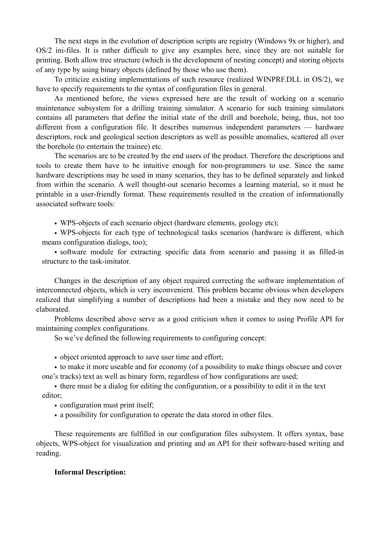The next steps in the evolution of description scripts are registry (Windows 9x or higher), and OS/2 ini-files. It is rather difficult to give any examples here, since they are not suitable for printing. Both allow tree structure (which is the development of nesting concept) and storing objects of any type by using binary objects (defined by those who use them).

To criticize existing implementations of such resource (realized WINPRF.DLL in OS/2), we have to specify requirements to the syntax of configuration files in general.

As mentioned before, the views expressed here are the result of working on a scenario maintenance subsystem for a drilling training simulator. A scenario for such training simulators contains all parameters that define the initial state of the drill and borehole, being, thus, not too different from a configuration file. It describes numerous independent parameters — hardware descriptors, rock and geological section descriptors as well as possible anomalies, scattered all over the borehole (to entertain the trainee) etc.

The scenarios are to be created by the end users of the product. Therefore the descriptions and tools to create them have to be intuitive enough for non-programmers to use. Since the same hardware descriptions may be used in many scenarios, they has to be defined separately and linked from within the scenario. A well thought-out scenario becomes a learning material, so it must be printable in a user-friendly format. These requirements resulted in the creation of informationally associated software tools:

• WPS-objects of each scenario object (hardware elements, geology etc);

• WPS-objects for each type of technological tasks scenarios (hardware is different, which means configuration dialogs, too);

• software module for extracting specific data from scenario and passing it as filled-in structure to the task-imitator.

Changes in the description of any object required correcting the software implementation of interconnected objects, which is very inconvenient. This problem became obvious when developers realized that simplifying a number of descriptions had been a mistake and they now need to be elaborated.

Problems described above serve as a good criticism when it comes to using Profile API for maintaining complex configurations.

So we've defined the following requirements to configuring concept:

• object oriented approach to save user time and effort;

• to make it more useable and for economy (of a possibility to make things obscure and cover one's tracks) text as well as binary form, regardless of how configurations are used;

• there must be a dialog for editing the configuration, or a possibility to edit it in the text editor;

- configuration must print itself;
- a possibility for configuration to operate the data stored in other files.

These requirements are fulfilled in our configuration files subsystem. It offers syntax, base objects, WPS-object for visualization and printing and an API for their software-based writing and reading.

# **Informal Description:**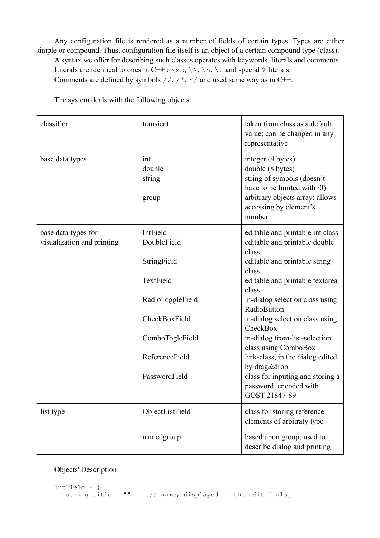Any configuration file is rendered as a number of fields of certain types. Types are either simple or compound. Thus, configuration file itself is an object of a certain compound type (class).

A syntax we offer for describing such classes operates with keywords, literals and comments. Literals are identical to ones in C++ :  $\x, \ \n\,, \ \n\$  and special  $\$  literals.

Comments are defined by symbols  $//, /*, */$  and used same way as in C++.

The system deals with the following objects:

| classifier                                        | transient                        | taken from class as a default<br>value; can be changed in any<br>representative                                                                                             |
|---------------------------------------------------|----------------------------------|-----------------------------------------------------------------------------------------------------------------------------------------------------------------------------|
| base data types                                   | int<br>double<br>string<br>group | integer (4 bytes)<br>double (8 bytes)<br>string of symbols (doesn't<br>have to be limited with $(0)$<br>arbitrary objects array: allows<br>accessing by element's<br>number |
| base data types for<br>visualization and printing | IntField<br>DoubleField          | editable and printable int class<br>editable and printable double<br>class                                                                                                  |
|                                                   | StringField                      | editable and printable string<br>class                                                                                                                                      |
|                                                   | TextField                        | editable and printable textarea<br>class                                                                                                                                    |
|                                                   | RadioToggleField                 | in-dialog selection class using<br>RadioButton                                                                                                                              |
|                                                   | CheckBoxField                    | in-dialog selection class using<br>CheckBox                                                                                                                                 |
|                                                   | ComboTogleField                  | in-dialog from-list-selection<br>class using ComboBox                                                                                                                       |
|                                                   | ReferenceField                   | link-class, in the dialog edited<br>by drag&drop                                                                                                                            |
|                                                   | PasswordField                    | class for inputing and storing a<br>password, encoded with<br>GOST 21847-89                                                                                                 |
| list type                                         | ObjectListField                  | class for storing reference<br>elements of arbitraty type                                                                                                                   |
|                                                   | namedgroup                       | based upon group; used to<br>describe dialog and printing                                                                                                                   |

Objects' Description:

```
IntField = \{<br>string title = ""
                             // name, displayed in the edit dialog
```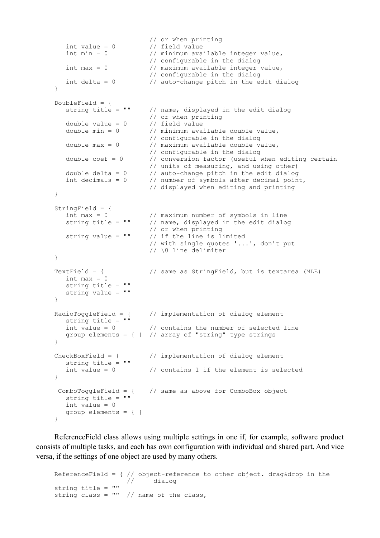```
 // or when printing
 int value = 0 // field value
   int min = 0 // minimum available integer value,
 // configurable in the dialog
 int max = 0 // maximum available integer value,
                             // configurable in the dialog
   int delta = 0 // auto-change pitch in the edit dialog
}
DoubleField = \{<br>string title = ""
                           // name, displayed in the edit dialog
                           // or when printing<br>// field value
   double value = 0<br>double min = 0// minimum available double value,
                             // configurable in the dialog
   double max = 0 // maximum available double value,
                             // configurable in the dialog
   double \text{coef} = 0 // conversion factor (useful when editing certain
   \frac{1}{2} \frac{1}{2} \frac{1}{2} \frac{1}{2} \frac{1}{2} \frac{1}{2} \frac{1}{2} \frac{1}{2} \frac{1}{2} \frac{1}{2} \frac{1}{2} \frac{1}{2} \frac{1}{2} \frac{1}{2} \frac{1}{2} \frac{1}{2} \frac{1}{2} \frac{1}{2} \frac{1}{2} \frac{1}{2} \frac{1}{2} \frac{1}{2} double delta = 0 // auto-change pitch in the edit dialog int decimals = 0 // number of symbols after decimal poin
                           // number of symbols after decimal point,
                             // displayed when editing and printing
}
StringField = {<br>int max = 0int max = 0 // maximum number of symbols in line<br>string title = \cdot" // name, displayed in the edit dialor
                            // name, displayed in the edit dialog
 // or when printing
 string value = "" // if the line is limited
                             // with single quotes '...', don't put
                             // \0 line delimiter
}
TextField = { // same as StringField, but is textarea (MLE)
  int max = 0 string title = ""
    string value = ""
}
RadioToggleField = { // implementation of dialog element
   string title = ""
   int value = 0 // contains the number of selected line
   group elements = \{\} // array of "string" type strings
}
CheckBoxField = { // implementation of dialog element}string title = ""<br>int value = 0// contains 1 if the element is selected
}
  ComboToggleField = { // same as above for ComboBox object
    string title = ""
    int value = 0
    group elements = { }
}
```
ReferenceField class allows using multiple settings in one if, for example, software product consists of multiple tasks, and each has own configuration with individual and shared part. And vice versa, if the settings of one object are used by many others.

ReferenceField = {  $//$  object-reference to other object. drag&drop in the  $//$  dialog dialog string title = "" string class =  $""$  // name of the class,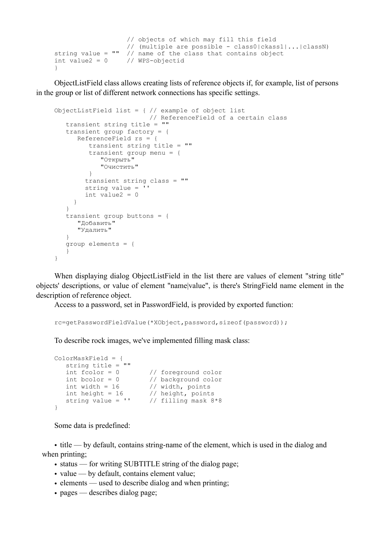```
 // objects of which may fill this field
 // (multiple are possible - class0|ckass1|...|classN)
string value = "" // name of the class that contains object
int value2 = 0 // WPS-objectid
}
```
ObjectListField class allows creating lists of reference objects if, for example, list of persons in the group or list of different network connections has specific settings.

```
ObjectListField list = \frac{1}{2} // example of object list
                            // ReferenceField of a certain class
    transient string title = ""
    transient group factory = {
       ReferenceField rs = {
          transient string title = ""
          transient group menu = {
              "Открыть"
             "Очистить"
          }
         transient string class = ""
         string value = ''
        int value2 = 0 }
    }
    transient group buttons = {
       "Добавить"
       "Удалить"
    }
    group elements = {
    }
}
```
When displaying dialog ObjectListField in the list there are values of element "string title" objects' descriptions, or value of element "name|value", is there's StringField name element in the description of reference object.

Access to a password, set in PasswordField, is provided by exported function:

rc=getPasswordFieldValue(\*XObject,password,sizeof(password));

To describe rock images, we've implemented filling mask class:

```
ColorMaskField = {
   string title = ""
 int fcolor = 0 // foreground color
 int bcolor = 0 // background color
int width = 16 // width, points
int height = 16 // height, points
 string value = '' // filling mask 8*8
}
```
Some data is predefined:

• title — by default, contains string-name of the element, which is used in the dialog and when printing;

- status for writing SUBTITLE string of the dialog page;
- value by default, contains element value;
- elements used to describe dialog and when printing;
- pages describes dialog page;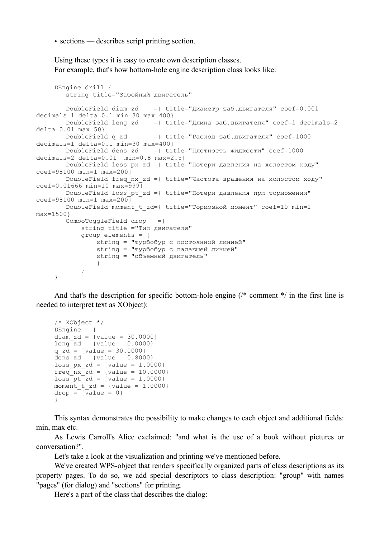• sections — describes script printing section.

Using these types it is easy to create own description classes. For example, that's how bottom-hole engine description class looks like:

```
DEngine drill={
         string title="Забойный двигатель"
       DoubleField diam zd ={ title="Диаметр заб.двигателя" coef=0.001
decimals=1 delta=0.1 \text{ min}=30 max=400}
        DoubleField leng_zd ={ title="Длина заб.двигателя" coef=1 decimals=2 
delta=0.01 max=50}<br>DoubleField q zd
                              = [ title="Расход заб.двигателя" coef=1000
decimals=1 delta=0.1 min=30 max=400}
        DoubleField dens_zd ={ title="Плотность жидкости" coef=1000 
decimals=2 delta=0.01 \overline{\text{min}}=0.8 max=2.5}
       DoubleField loss pxzd = \{ title="Torepu \text{ давления на холостом ходу"}coef=98100 min=1 max=200}
        DoubleField freq_nx_zd ={ title="Частота вращения на холостом ходу" 
coef=0.01666 min=10 max=999}
        DoubleField loss_pt_zd ={ title="Потери давления при торможении" 
coef=98100 min=1 max=200}
        DoubleField moment_t_zd={ title="Тормозной момент" coef=10 min=1 
max=1500}
         ComboToggleField drop ={
             string title ="Тип двигателя"
             group elements = {
                 string = "турбобур с постоянной линией"
                string = "ryp6o6yp c naqabщей линией"
                 string = "объемный двигатель"
      }
             }
     }
```
And that's the description for specific bottom-hole engine (/\* comment \*/ in the first line is needed to interpret text as XObject):

```
/* XObject */
DEngine = {
diam zd = \{value = 30.0000\}leng zd = \{value = 0.0000\}q zd = \{value = 30.0000\}dens zd = \{value = 0.8000\}loss pxzd = \{value = 1.0000\}freq<sup>nx</sup>zd = \{value = 10.0000\}loss pt zd = \{value = 1.0000\}moment \overline{t} zd = {value = 1.0000}
drop =\overline{\{value = 0\}}}
```
This syntax demonstrates the possibility to make changes to each object and additional fields: min, max etc.

As Lewis Carroll's Alice exclaimed: "and what is the use of a book without pictures or conversation?".

Let's take a look at the visualization and printing we've mentioned before.

We've created WPS-object that renders specifically organized parts of class descriptions as its property pages. To do so, we add special descriptors to class description: "group" with names "pages" (for dialog) and "sections" for printing.

Here's a part of the class that describes the dialog: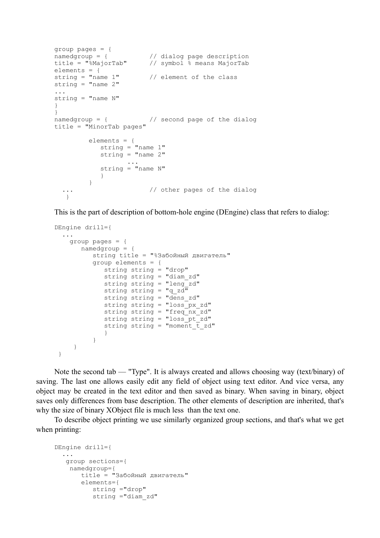```
group pages = \{ namedgroup = \{namedgroup = { \frac{1}{2} // dialog page description<br>title = "%MajorTab" // symbol % means MajorTab
                          // symbol % means MajorTab
elements = \{<br>string = "name 1"\frac{1}{2} element of the class
string = "name 2"...
string = "name N"}
}
namedgroup = { // second page of the dialog
title = "MinorTab pages"
           elements = {
              string = "name 1"
             string = "name 2" ...
              string = "name N"
 }
 }
  ... \frac{1}{2} // other pages of the dialog
    }
```
This is the part of description of bottom-hole engine (DEngine) class that refers to dialog:

```
DEngine drill={
  ...
    group pages = {
       namedgroup = {
          string title = "%Забойный двигатель"
           group elements = {
             string string = "drop"
             string string = "diam_zd"
             string string = "leng_zd"
            string string = "q_zd"
            string string = "dens zd"string string = "loss px zd"
            string string = "freq_nx_zd"
            string string = "loss pt"zd"
             string string = "moment \overline{t} zd"
 }
 }
      }
 }
```
Note the second tab — "Type". It is always created and allows choosing way (text/binary) of saving. The last one allows easily edit any field of object using text editor. And vice versa, any object may be created in the text editor and then saved as binary. When saving in binary, object saves only differences from base description. The other elements of description are inherited, that's why the size of binary XObject file is much less than the text one.

To describe object printing we use similarly organized group sections, and that's what we get when printing:

```
DEngine drill={
   ...
   group sections={
     namedgroup={
        title = "Забойный двигатель"
        elements={
           string ="drop"
           string ="diam_zd"
```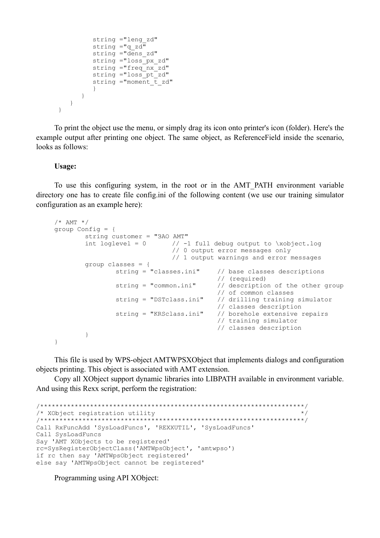```
 string ="leng_zd"
            string ="g_zd"
            string =\overline{\phantom{a}} dens zd"
             string ="loss_px_zd"
            string ="freq\bar{x}zd"
            string ="loss pt zd"
            string ="moment \overline{t} zd"
 }
         }
     }
  }
```
To print the object use the menu, or simply drag its icon onto printer's icon (folder). Here's the example output after printing one object. The same object, as ReferenceField inside the scenario, looks as follows:

#### **Usage:**

To use this configuring system, in the root or in the AMT\_PATH environment variable directory one has to create file config.ini of the following content (we use our training simulator configuration as an example here):

```
/* AMT */group Config = {
         string customer = "ЗАО АМТ"<br>int loglevel = 0 //-1
                               \frac{1}{1} -1 full debug output to \xobject.log
                                    // 0 output error messages only
                                    // 1 output warnings and error messages
         group classes = \{<br>string = "classes.ini"
                                                 // base classes descriptions
                  %/ (required)<br>string = "common.ini" // descriptio
                                                // description of the other group
                  // of common classes<br>string = "DSTclass.ini" // drilling training
                                                // drilling training simulator
                                                 // classes description
                   string = "KRSclass.ini" // borehole extensive repairs 
                                                 // training simulator
                                                 // classes description
 }
}
```
This file is used by WPS-object AMTWPSXObject that implements dialogs and configuration objects printing. This object is associated with AMT extension.

Copy all XObject support dynamic libraries into LIBPATH available in environment variable. And using this Rexx script, perform the registration:

```
/*********************************************************************/
/* XObject registration utility */
/*********************************************************************/
Call RxFuncAdd 'SysLoadFuncs', 'REXXUTIL', 'SysLoadFuncs'
Call SysLoadFuncs
Say 'AMT XObjects to be registered'
rc=SysRegisterObjectClass('AMTWpsObject', 'amtwpso')
if rc then say 'AMTWpsObject registered'
else say 'AMTWpsObject cannot be registered'
```
### Programming using API XObject: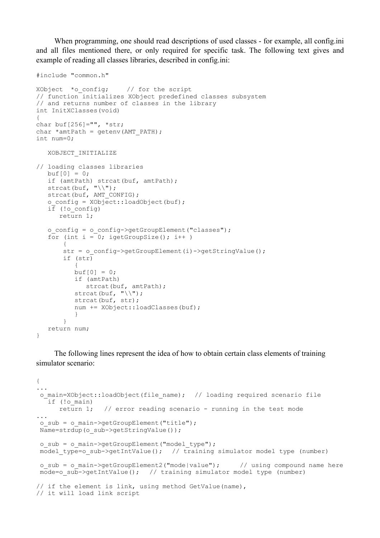When programming, one should read descriptions of used classes - for example, all config.ini and all files mentioned there, or only required for specific task. The following text gives and example of reading all classes libraries, described in config.ini:

```
#include "common.h"
XObject *o_config; // for the script
// function initializes XObject predefined classes subsystem
// and returns number of classes in the library
int InitXClasses(void)
{
char buf[256]="", *str;
char *amtPath = getenv (AMT PATH);
int num=0;
   XOBJECT_INITIALIZE
// loading classes libraries
  buf[0] = 0; if (amtPath) strcat(buf, amtPath);
  strcat(buf, "\wedge");
  strcat(buf, AMT CONFIG);
   o config = XOb\overline{ect::!}loadObject(buf);
  i\bar{f} (!o config)
       return 1;
   o config = o config->getGroupElement("classes");
   for (int i = 0; igetGroupSize(); i++)
 {
       str = o config->getGroupElement(i)->getStringValue();
        if (str) 
\{buf[0] = 0; if (amtPath)
            strcat(buf, amtPath);
          strcat(buf, "\wedge");
           strcat(buf, str);
           num += XObject::loadClasses(buf);
 }
 }
    return num;
}
```
The following lines represent the idea of how to obtain certain class elements of training simulator scenario:

```
{
...
o main=XObject::loadObject(file name); // loading required scenario file
   if (!o_main)
     return 1; \frac{1}{2} // error reading scenario - running in the test mode
...
o sub = o main->getGroupElement("title");
Name=strdup(o_sub->getStringValue());
o sub = o main->getGroupElement("model type");
model type=o_sub->getIntValue(); // training simulator model type (number)
o sub = o main->getGroupElement2("mode|value"); // using compound name here
mode=o_sub->getIntValue(); // training simulator model type (number)
// if the element is link, using method GetValue(name),
// it will load link script
```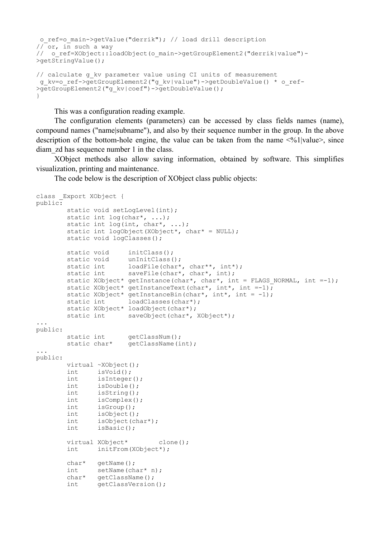```
 o_ref=o_main->getValue("derrik"); // load drill description
1/\sqrt{\sigma}or, in such a way
// o_ref=XObject::loadObject(o_main->getGroupElement2("derrik|value")-
\sqrt{q}etStringValue();
// calculate g_kv parameter value using CI units of measurement
 g_kv=o_ref->getGroupElement2("g_kv|value")->getDoubleValue() * o_ref-
```
This was a configuration reading example.

}

>getGroupElement2("g\_kv|coef")->getDoubleValue();

The configuration elements (parameters) can be accessed by class fields names (name), compound names ("name|subname"), and also by their sequence number in the group. In the above description of the bottom-hole engine, the value can be taken from the name  $\leq 0/1$  values, since diam\_zd has sequence number 1 in the class.

XObject methods also allow saving information, obtained by software. This simplifies visualization, printing and maintenance.

The code below is the description of XObject class public objects:

```
class _Export XObject {
public:
       static void setLogLevel(int);
       static int log(char*, ...);
       static int log(int, char*, ...);
       static int logObject(XObject*, char* = NULL);
       static void logClasses();
       static void initClass();<br>static void unInitClass(
                     unInitClass();
static int loadFile(char*, char**, int*);
static int saveFile(char*, char*, int);
       static XObject* getInstance(char*, char*, int = FLAGS_NORMAL, int =-1);
       static XObject* getInstanceText(char*, int*, int =-1);
       static XObject* getInstanceBin(char*, int*, int = -1);
       static int loadClasses(char*);
       static XObject* loadObject(char*);
       static int saveObject(char*, XObject*);
...
public:
       static int getClassNum();<br>static char* getClassName(i
                      getClassName(int);
...
public:
        virtual ~XObject();
        int isVoid();
        int isInteger();
       int isDouble();<br>int isString();
              isString();
        int isComplex();
        int isGroup();
        int isObject();
        int isObject(char*);
        int isBasic();
       virtual XObject* clone();
        int initFrom(XObject*);
        char* getName();
int setName(char* n);
char* getClassName();
        int getClassVersion();
```